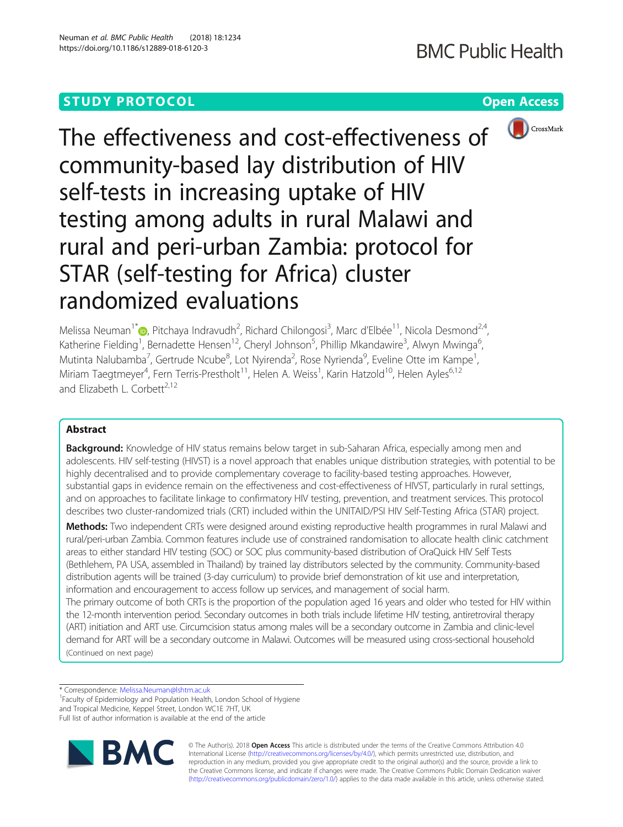# **STUDY PROTOCOL CONSUMING THE CONSUMING OPEN ACCESS**



The effectiveness and cost-effectiveness of community-based lay distribution of HIV self-tests in increasing uptake of HIV testing among adults in rural Malawi and rural and peri-urban Zambia: protocol for STAR (self-testing for Africa) cluster randomized evaluations

Melissa Neuman<sup>1\*</sup> @[,](http://orcid.org/0000-0002-8870-6504) Pitchaya Indravudh<sup>2</sup>, Richard Chilongosi<sup>3</sup>, Marc d'Elbée<sup>11</sup>, Nicola Desmond<sup>2,4</sup>, Katherine Fielding<sup>1</sup>, Bernadette Hensen<sup>12</sup>, Cheryl Johnson<sup>5</sup>, Phillip Mkandawire<sup>3</sup>, Alwyn Mwinga<sup>6</sup> , Mutinta Nalubamba<sup>7</sup>, Gertrude Ncube<sup>8</sup>, Lot Nyirenda<sup>2</sup>, Rose Nyrienda<sup>9</sup>, Eveline Otte im Kampe<sup>1</sup> , Miriam Taegtmeyer<sup>4</sup>, Fern Terris-Prestholt<sup>11</sup>, Helen A. Weiss<sup>1</sup>, Karin Hatzold<sup>10</sup>, Helen Ayles<sup>6,12</sup> and Elizabeth L. Corbett<sup>2,12</sup>

# Abstract

Background: Knowledge of HIV status remains below target in sub-Saharan Africa, especially among men and adolescents. HIV self-testing (HIVST) is a novel approach that enables unique distribution strategies, with potential to be highly decentralised and to provide complementary coverage to facility-based testing approaches. However, substantial gaps in evidence remain on the effectiveness and cost-effectiveness of HIVST, particularly in rural settings, and on approaches to facilitate linkage to confirmatory HIV testing, prevention, and treatment services. This protocol describes two cluster-randomized trials (CRT) included within the UNITAID/PSI HIV Self-Testing Africa (STAR) project.

Methods: Two independent CRTs were designed around existing reproductive health programmes in rural Malawi and rural/peri-urban Zambia. Common features include use of constrained randomisation to allocate health clinic catchment areas to either standard HIV testing (SOC) or SOC plus community-based distribution of OraQuick HIV Self Tests (Bethlehem, PA USA, assembled in Thailand) by trained lay distributors selected by the community. Community-based distribution agents will be trained (3-day curriculum) to provide brief demonstration of kit use and interpretation, information and encouragement to access follow up services, and management of social harm.

The primary outcome of both CRTs is the proportion of the population aged 16 years and older who tested for HIV within the 12-month intervention period. Secondary outcomes in both trials include lifetime HIV testing, antiretroviral therapy (ART) initiation and ART use. Circumcision status among males will be a secondary outcome in Zambia and clinic-level demand for ART will be a secondary outcome in Malawi. Outcomes will be measured using cross-sectional household (Continued on next page)

\* Correspondence: [Melissa.Neuman@lshtm.ac.uk](mailto:Melissa.Neuman@lshtm.ac.uk) <sup>1</sup> <sup>1</sup>Faculty of Epidemiology and Population Health, London School of Hygiene and Tropical Medicine, Keppel Street, London WC1E 7HT, UK

Full list of author information is available at the end of the article



© The Author(s). 2018 Open Access This article is distributed under the terms of the Creative Commons Attribution 4.0 International License [\(http://creativecommons.org/licenses/by/4.0/](http://creativecommons.org/licenses/by/4.0/)), which permits unrestricted use, distribution, and reproduction in any medium, provided you give appropriate credit to the original author(s) and the source, provide a link to the Creative Commons license, and indicate if changes were made. The Creative Commons Public Domain Dedication waiver [\(http://creativecommons.org/publicdomain/zero/1.0/](http://creativecommons.org/publicdomain/zero/1.0/)) applies to the data made available in this article, unless otherwise stated.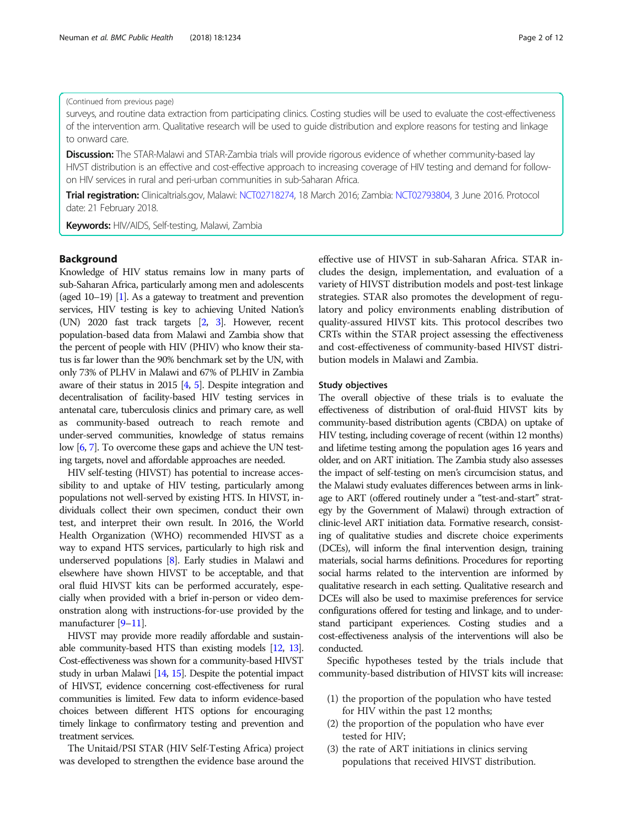### (Continued from previous page)

surveys, and routine data extraction from participating clinics. Costing studies will be used to evaluate the cost-effectiveness of the intervention arm. Qualitative research will be used to guide distribution and explore reasons for testing and linkage to onward care.

Discussion: The STAR-Malawi and STAR-Zambia trials will provide rigorous evidence of whether community-based lay HIVST distribution is an effective and cost-effective approach to increasing coverage of HIV testing and demand for followon HIV services in rural and peri-urban communities in sub-Saharan Africa.

Trial registration: Clinicaltrials.gov, Malawi: [NCT02718274](https://clinicaltrials.gov/ct2/show/NCT02718274), 18 March 2016; Zambia: [NCT02793804](https://clinicaltrials.gov/ct2/show/NCT02793804), 3 June 2016. Protocol date: 21 February 2018.

Keywords: HIV/AIDS, Self-testing, Malawi, Zambia

# Background

Knowledge of HIV status remains low in many parts of sub-Saharan Africa, particularly among men and adolescents (aged 10–19) [\[1](#page-11-0)]. As a gateway to treatment and prevention services, HIV testing is key to achieving United Nation's (UN) 2020 fast track targets [[2](#page-11-0), [3\]](#page-11-0). However, recent population-based data from Malawi and Zambia show that the percent of people with HIV (PHIV) who know their status is far lower than the 90% benchmark set by the UN, with only 73% of PLHV in Malawi and 67% of PLHIV in Zambia aware of their status in 2015 [[4](#page-11-0), [5](#page-11-0)]. Despite integration and decentralisation of facility-based HIV testing services in antenatal care, tuberculosis clinics and primary care, as well as community-based outreach to reach remote and under-served communities, knowledge of status remains low [\[6,](#page-11-0) [7\]](#page-11-0). To overcome these gaps and achieve the UN testing targets, novel and affordable approaches are needed.

HIV self-testing (HIVST) has potential to increase accessibility to and uptake of HIV testing, particularly among populations not well-served by existing HTS. In HIVST, individuals collect their own specimen, conduct their own test, and interpret their own result. In 2016, the World Health Organization (WHO) recommended HIVST as a way to expand HTS services, particularly to high risk and underserved populations [\[8\]](#page-11-0). Early studies in Malawi and elsewhere have shown HIVST to be acceptable, and that oral fluid HIVST kits can be performed accurately, especially when provided with a brief in-person or video demonstration along with instructions-for-use provided by the manufacturer [\[9](#page-11-0)–[11](#page-11-0)].

HIVST may provide more readily affordable and sustainable community-based HTS than existing models [\[12](#page-11-0), [13\]](#page-11-0). Cost-effectiveness was shown for a community-based HIVST study in urban Malawi [\[14](#page-11-0), [15](#page-11-0)]. Despite the potential impact of HIVST, evidence concerning cost-effectiveness for rural communities is limited. Few data to inform evidence-based choices between different HTS options for encouraging timely linkage to confirmatory testing and prevention and treatment services.

The Unitaid/PSI STAR (HIV Self-Testing Africa) project was developed to strengthen the evidence base around the

effective use of HIVST in sub-Saharan Africa. STAR includes the design, implementation, and evaluation of a variety of HIVST distribution models and post-test linkage strategies. STAR also promotes the development of regulatory and policy environments enabling distribution of quality-assured HIVST kits. This protocol describes two CRTs within the STAR project assessing the effectiveness and cost-effectiveness of community-based HIVST distribution models in Malawi and Zambia.

#### Study objectives

The overall objective of these trials is to evaluate the effectiveness of distribution of oral-fluid HIVST kits by community-based distribution agents (CBDA) on uptake of HIV testing, including coverage of recent (within 12 months) and lifetime testing among the population ages 16 years and older, and on ART initiation. The Zambia study also assesses the impact of self-testing on men's circumcision status, and the Malawi study evaluates differences between arms in linkage to ART (offered routinely under a "test-and-start" strategy by the Government of Malawi) through extraction of clinic-level ART initiation data. Formative research, consisting of qualitative studies and discrete choice experiments (DCEs), will inform the final intervention design, training materials, social harms definitions. Procedures for reporting social harms related to the intervention are informed by qualitative research in each setting. Qualitative research and DCEs will also be used to maximise preferences for service configurations offered for testing and linkage, and to understand participant experiences. Costing studies and a cost-effectiveness analysis of the interventions will also be conducted.

Specific hypotheses tested by the trials include that community-based distribution of HIVST kits will increase:

- (1) the proportion of the population who have tested for HIV within the past 12 months;
- (2) the proportion of the population who have ever tested for HIV;
- (3) the rate of ART initiations in clinics serving populations that received HIVST distribution.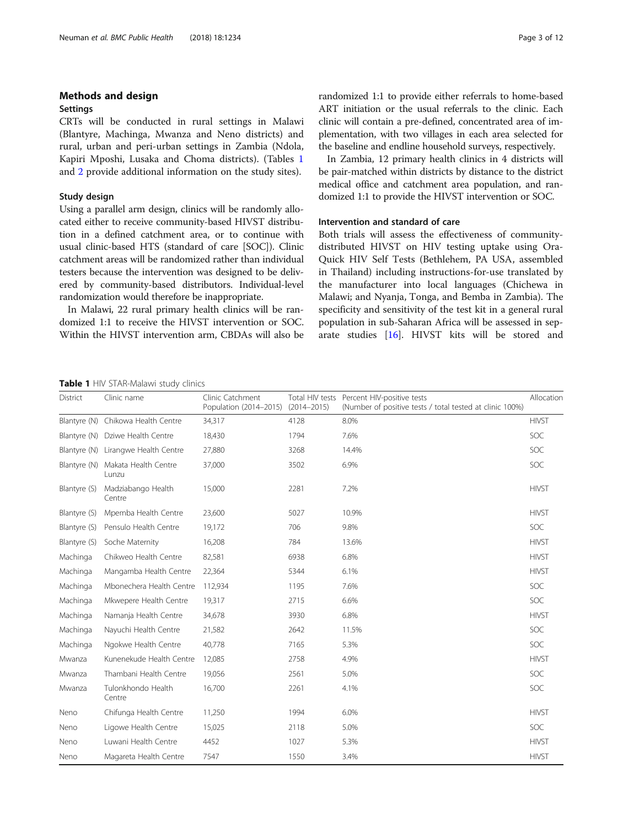## Methods and design

### Settings

CRTs will be conducted in rural settings in Malawi (Blantyre, Machinga, Mwanza and Neno districts) and rural, urban and peri-urban settings in Zambia (Ndola, Kapiri Mposhi, Lusaka and Choma districts). (Tables 1 and [2](#page-3-0) provide additional information on the study sites).

#### Study design

Using a parallel arm design, clinics will be randomly allocated either to receive community-based HIVST distribution in a defined catchment area, or to continue with usual clinic-based HTS (standard of care [SOC]). Clinic catchment areas will be randomized rather than individual testers because the intervention was designed to be delivered by community-based distributors. Individual-level randomization would therefore be inappropriate.

In Malawi, 22 rural primary health clinics will be randomized 1:1 to receive the HIVST intervention or SOC. Within the HIVST intervention arm, CBDAs will also be randomized 1:1 to provide either referrals to home-based ART initiation or the usual referrals to the clinic. Each clinic will contain a pre-defined, concentrated area of implementation, with two villages in each area selected for the baseline and endline household surveys, respectively.

In Zambia, 12 primary health clinics in 4 districts will be pair-matched within districts by distance to the district medical office and catchment area population, and randomized 1:1 to provide the HIVST intervention or SOC.

## Intervention and standard of care

Both trials will assess the effectiveness of communitydistributed HIVST on HIV testing uptake using Ora-Quick HIV Self Tests (Bethlehem, PA USA, assembled in Thailand) including instructions-for-use translated by the manufacturer into local languages (Chichewa in Malawi; and Nyanja, Tonga, and Bemba in Zambia). The specificity and sensitivity of the test kit in a general rural population in sub-Saharan Africa will be assessed in separate studies [[16\]](#page-11-0). HIVST kits will be stored and

#### Table 1 HIV STAR-Malawi study clinics

| District     | Clinic name                   | Clinic Catchment<br>Population (2014-2015) | $(2014 - 2015)$ | Total HIV tests Percent HIV-positive tests<br>(Number of positive tests / total tested at clinic 100%) | Allocation   |
|--------------|-------------------------------|--------------------------------------------|-----------------|--------------------------------------------------------------------------------------------------------|--------------|
| Blantyre (N) | Chikowa Health Centre         | 34,317                                     | 4128            | 8.0%                                                                                                   | <b>HIVST</b> |
| Blantyre (N) | Dziwe Health Centre           | 18,430                                     | 1794            | 7.6%                                                                                                   | <b>SOC</b>   |
| Blantyre (N) | Lirangwe Health Centre        | 27,880                                     | 3268            | 14.4%                                                                                                  | <b>SOC</b>   |
| Blantyre (N) | Makata Health Centre<br>Lunzu | 37,000                                     | 3502            | 6.9%                                                                                                   | <b>SOC</b>   |
| Blantyre (S) | Madziabango Health<br>Centre  | 15,000                                     | 2281            | 7.2%                                                                                                   | <b>HIVST</b> |
| Blantyre (S) | Mpemba Health Centre          | 23,600                                     | 5027            | 10.9%                                                                                                  | <b>HIVST</b> |
| Blantyre (S) | Pensulo Health Centre         | 19,172                                     | 706             | 9.8%                                                                                                   | SOC          |
| Blantyre (S) | Soche Maternity               | 16,208                                     | 784             | 13.6%                                                                                                  | <b>HIVST</b> |
| Machinga     | Chikweo Health Centre         | 82,581                                     | 6938            | 6.8%                                                                                                   | <b>HIVST</b> |
| Machinga     | Mangamba Health Centre        | 22,364                                     | 5344            | 6.1%                                                                                                   | <b>HIVST</b> |
| Machinga     | Mbonechera Health Centre      | 112,934                                    | 1195            | 7.6%                                                                                                   | SOC          |
| Machinga     | Mkwepere Health Centre        | 19,317                                     | 2715            | 6.6%                                                                                                   | <b>SOC</b>   |
| Machinga     | Namanja Health Centre         | 34,678                                     | 3930            | 6.8%                                                                                                   | <b>HIVST</b> |
| Machinga     | Nayuchi Health Centre         | 21,582                                     | 2642            | 11.5%                                                                                                  | SOC          |
| Machinga     | Ngokwe Health Centre          | 40,778                                     | 7165            | 5.3%                                                                                                   | <b>SOC</b>   |
| Mwanza       | Kunenekude Health Centre      | 12,085                                     | 2758            | 4.9%                                                                                                   | <b>HIVST</b> |
| Mwanza       | Thambani Health Centre        | 19,056                                     | 2561            | 5.0%                                                                                                   | SOC          |
| Mwanza       | Tulonkhondo Health<br>Centre  | 16,700                                     | 2261            | 4.1%                                                                                                   | SOC          |
| Neno         | Chifunga Health Centre        | 11,250                                     | 1994            | 6.0%                                                                                                   | <b>HIVST</b> |
| Neno         | Ligowe Health Centre          | 15,025                                     | 2118            | 5.0%                                                                                                   | <b>SOC</b>   |
| Neno         | Luwani Health Centre          | 4452                                       | 1027            | 5.3%                                                                                                   | <b>HIVST</b> |
| Neno         | Magareta Health Centre        | 7547                                       | 1550            | 3.4%                                                                                                   | <b>HIVST</b> |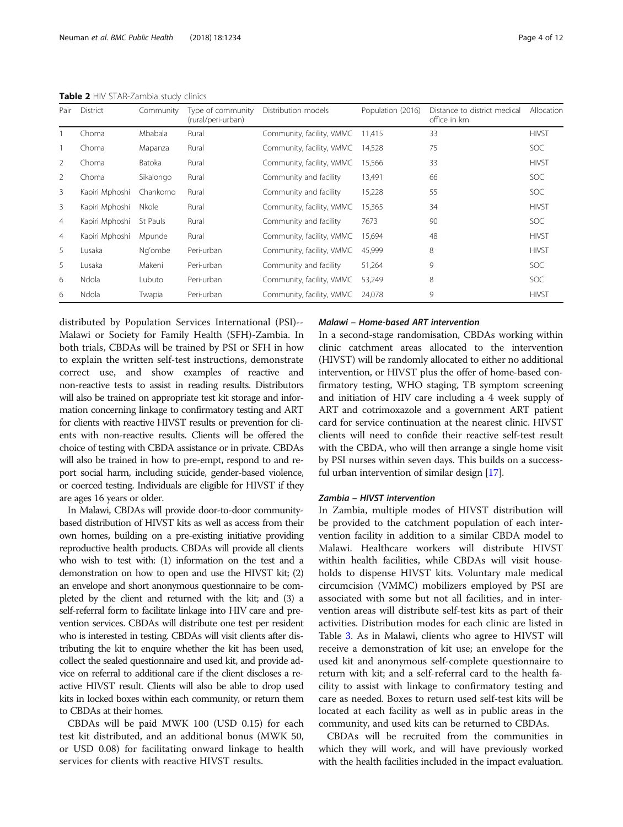<span id="page-3-0"></span>Table 2 HIV STAR-Zambia study clinics

| Pair | District       | Community    | Type of community<br>(rural/peri-urban) | Distribution models       | Population (2016) | Distance to district medical<br>office in km | Allocation   |
|------|----------------|--------------|-----------------------------------------|---------------------------|-------------------|----------------------------------------------|--------------|
|      | Choma          | Mbabala      | Rural                                   | Community, facility, VMMC | 11.415            | 33                                           | <b>HIVST</b> |
|      | Choma          | Mapanza      | Rural                                   | Community, facility, VMMC | 14,528            | 75                                           | SOC.         |
| 2    | Choma          | Batoka       | Rural                                   | Community, facility, VMMC | 15,566            | 33                                           | <b>HIVST</b> |
| 2    | Choma          | Sikalongo    | Rural                                   | Community and facility    | 13,491            | 66                                           | <b>SOC</b>   |
| 3    | Kapiri Mphoshi | Chankomo     | Rural                                   | Community and facility    | 15,228            | 55                                           | <b>SOC</b>   |
| 3    | Kapiri Mphoshi | <b>Nkole</b> | Rural                                   | Community, facility, VMMC | 15,365            | 34                                           | <b>HIVST</b> |
| 4    | Kapiri Mphoshi | St Pauls     | Rural                                   | Community and facility    | 7673              | 90                                           | <b>SOC</b>   |
| 4    | Kapiri Mphoshi | Mpunde       | Rural                                   | Community, facility, VMMC | 15,694            | 48                                           | <b>HIVST</b> |
| 5    | Lusaka         | Ng'ombe      | Peri-urban                              | Community, facility, VMMC | 45,999            | 8                                            | <b>HIVST</b> |
| 5    | Lusaka         | Makeni       | Peri-urban                              | Community and facility    | 51,264            | 9                                            | <b>SOC</b>   |
| 6    | Ndola          | Lubuto       | Peri-urban                              | Community, facility, VMMC | 53,249            | 8                                            | <b>SOC</b>   |
| 6    | Ndola          | Twapia       | Peri-urban                              | Community, facility, VMMC | 24,078            | 9                                            | <b>HIVST</b> |

distributed by Population Services International (PSI)-- Malawi or Society for Family Health (SFH)-Zambia. In both trials, CBDAs will be trained by PSI or SFH in how to explain the written self-test instructions, demonstrate correct use, and show examples of reactive and non-reactive tests to assist in reading results. Distributors will also be trained on appropriate test kit storage and information concerning linkage to confirmatory testing and ART for clients with reactive HIVST results or prevention for clients with non-reactive results. Clients will be offered the choice of testing with CBDA assistance or in private. CBDAs will also be trained in how to pre-empt, respond to and report social harm, including suicide, gender-based violence, or coerced testing. Individuals are eligible for HIVST if they are ages 16 years or older.

In Malawi, CBDAs will provide door-to-door communitybased distribution of HIVST kits as well as access from their own homes, building on a pre-existing initiative providing reproductive health products. CBDAs will provide all clients who wish to test with: (1) information on the test and a demonstration on how to open and use the HIVST kit; (2) an envelope and short anonymous questionnaire to be completed by the client and returned with the kit; and (3) a self-referral form to facilitate linkage into HIV care and prevention services. CBDAs will distribute one test per resident who is interested in testing. CBDAs will visit clients after distributing the kit to enquire whether the kit has been used, collect the sealed questionnaire and used kit, and provide advice on referral to additional care if the client discloses a reactive HIVST result. Clients will also be able to drop used kits in locked boxes within each community, or return them to CBDAs at their homes.

CBDAs will be paid MWK 100 (USD 0.15) for each test kit distributed, and an additional bonus (MWK 50, or USD 0.08) for facilitating onward linkage to health services for clients with reactive HIVST results.

### Malawi – Home-based ART intervention

In a second-stage randomisation, CBDAs working within clinic catchment areas allocated to the intervention (HIVST) will be randomly allocated to either no additional intervention, or HIVST plus the offer of home-based confirmatory testing, WHO staging, TB symptom screening and initiation of HIV care including a 4 week supply of ART and cotrimoxazole and a government ART patient card for service continuation at the nearest clinic. HIVST clients will need to confide their reactive self-test result with the CBDA, who will then arrange a single home visit by PSI nurses within seven days. This builds on a successful urban intervention of similar design [\[17\]](#page-11-0).

#### Zambia – HIVST intervention

In Zambia, multiple modes of HIVST distribution will be provided to the catchment population of each intervention facility in addition to a similar CBDA model to Malawi. Healthcare workers will distribute HIVST within health facilities, while CBDAs will visit households to dispense HIVST kits. Voluntary male medical circumcision (VMMC) mobilizers employed by PSI are associated with some but not all facilities, and in intervention areas will distribute self-test kits as part of their activities. Distribution modes for each clinic are listed in Table [3](#page-4-0). As in Malawi, clients who agree to HIVST will receive a demonstration of kit use; an envelope for the used kit and anonymous self-complete questionnaire to return with kit; and a self-referral card to the health facility to assist with linkage to confirmatory testing and care as needed. Boxes to return used self-test kits will be located at each facility as well as in public areas in the community, and used kits can be returned to CBDAs.

CBDAs will be recruited from the communities in which they will work, and will have previously worked with the health facilities included in the impact evaluation.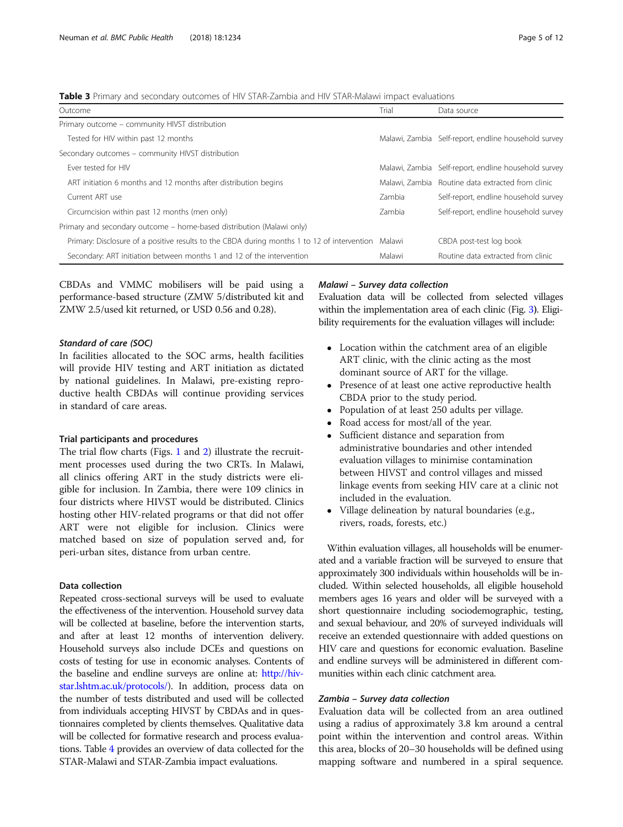<span id="page-4-0"></span>Table 3 Primary and secondary outcomes of HIV STAR-Zambia and HIV STAR-Malawi impact evaluations

| Outcome                                                                                            | Trial  | Data source                                          |
|----------------------------------------------------------------------------------------------------|--------|------------------------------------------------------|
| Primary outcome – community HIVST distribution                                                     |        |                                                      |
| Tested for HIV within past 12 months                                                               |        | Malawi, Zambia Self-report, endline household survey |
| Secondary outcomes - community HIVST distribution                                                  |        |                                                      |
| Fver tested for HIV                                                                                |        | Malawi, Zambia Self-report, endline household survey |
| ART initiation 6 months and 12 months after distribution begins                                    |        | Malawi. Zambia Routine data extracted from clinic    |
| Current ART use                                                                                    | Zambia | Self-report, endline household survey                |
| Circumcision within past 12 months (men only)                                                      | Zambia | Self-report, endline household survey                |
| Primary and secondary outcome – home-based distribution (Malawi only)                              |        |                                                      |
| Primary: Disclosure of a positive results to the CBDA during months 1 to 12 of intervention Malawi |        | CBDA post-test log book                              |
| Secondary: ART initiation between months 1 and 12 of the intervention                              | Malawi | Routine data extracted from clinic                   |

CBDAs and VMMC mobilisers will be paid using a performance-based structure (ZMW 5/distributed kit and ZMW 2.5/used kit returned, or USD 0.56 and 0.28).

### Standard of care (SOC)

In facilities allocated to the SOC arms, health facilities will provide HIV testing and ART initiation as dictated by national guidelines. In Malawi, pre-existing reproductive health CBDAs will continue providing services in standard of care areas.

#### Trial participants and procedures

The trial flow charts (Figs. [1](#page-5-0) and [2](#page-6-0)) illustrate the recruitment processes used during the two CRTs. In Malawi, all clinics offering ART in the study districts were eligible for inclusion. In Zambia, there were 109 clinics in four districts where HIVST would be distributed. Clinics hosting other HIV-related programs or that did not offer ART were not eligible for inclusion. Clinics were matched based on size of population served and, for peri-urban sites, distance from urban centre.

## Data collection

Repeated cross-sectional surveys will be used to evaluate the effectiveness of the intervention. Household survey data will be collected at baseline, before the intervention starts, and after at least 12 months of intervention delivery. Household surveys also include DCEs and questions on costs of testing for use in economic analyses. Contents of the baseline and endline surveys are online at: [http://hiv](http://hivstar.lshtm.ac.uk/protocols/)[star.lshtm.ac.uk/protocols/](http://hivstar.lshtm.ac.uk/protocols/)). In addition, process data on the number of tests distributed and used will be collected from individuals accepting HIVST by CBDAs and in questionnaires completed by clients themselves. Qualitative data will be collected for formative research and process evaluations. Table [4](#page-6-0) provides an overview of data collected for the STAR-Malawi and STAR-Zambia impact evaluations.

# Malawi – Survey data collection

Evaluation data will be collected from selected villages within the implementation area of each clinic (Fig. [3](#page-7-0)). Eligibility requirements for the evaluation villages will include:

- Location within the catchment area of an eligible ART clinic, with the clinic acting as the most dominant source of ART for the village.
- Presence of at least one active reproductive health CBDA prior to the study period.
- Population of at least 250 adults per village.
- Road access for most/all of the year.
- Sufficient distance and separation from administrative boundaries and other intended evaluation villages to minimise contamination between HIVST and control villages and missed linkage events from seeking HIV care at a clinic not included in the evaluation.
- Village delineation by natural boundaries (e.g., rivers, roads, forests, etc.)

Within evaluation villages, all households will be enumerated and a variable fraction will be surveyed to ensure that approximately 300 individuals within households will be included. Within selected households, all eligible household members ages 16 years and older will be surveyed with a short questionnaire including sociodemographic, testing, and sexual behaviour, and 20% of surveyed individuals will receive an extended questionnaire with added questions on HIV care and questions for economic evaluation. Baseline and endline surveys will be administered in different communities within each clinic catchment area.

### Zambia – Survey data collection

Evaluation data will be collected from an area outlined using a radius of approximately 3.8 km around a central point within the intervention and control areas. Within this area, blocks of 20–30 households will be defined using mapping software and numbered in a spiral sequence.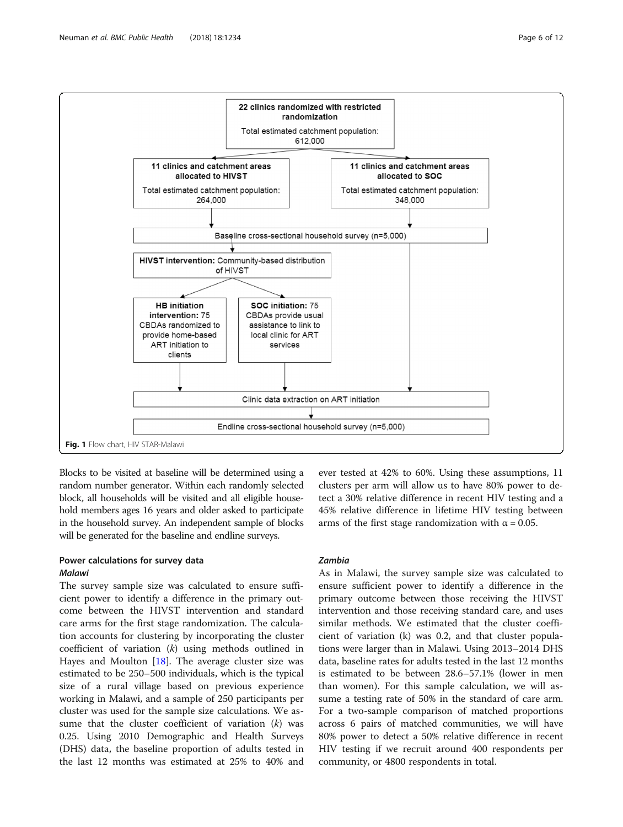<span id="page-5-0"></span>

Blocks to be visited at baseline will be determined using a random number generator. Within each randomly selected block, all households will be visited and all eligible household members ages 16 years and older asked to participate in the household survey. An independent sample of blocks will be generated for the baseline and endline surveys.

# Power calculations for survey data Malawi

The survey sample size was calculated to ensure sufficient power to identify a difference in the primary outcome between the HIVST intervention and standard care arms for the first stage randomization. The calculation accounts for clustering by incorporating the cluster coefficient of variation (k) using methods outlined in Hayes and Moulton  $[18]$  $[18]$ . The average cluster size was estimated to be 250–500 individuals, which is the typical size of a rural village based on previous experience working in Malawi, and a sample of 250 participants per cluster was used for the sample size calculations. We assume that the cluster coefficient of variation  $(k)$  was 0.25. Using 2010 Demographic and Health Surveys (DHS) data, the baseline proportion of adults tested in the last 12 months was estimated at 25% to 40% and ever tested at 42% to 60%. Using these assumptions, 11 clusters per arm will allow us to have 80% power to detect a 30% relative difference in recent HIV testing and a 45% relative difference in lifetime HIV testing between arms of the first stage randomization with  $α = 0.05$ .

## Zambia

As in Malawi, the survey sample size was calculated to ensure sufficient power to identify a difference in the primary outcome between those receiving the HIVST intervention and those receiving standard care, and uses similar methods. We estimated that the cluster coefficient of variation (k) was 0.2, and that cluster populations were larger than in Malawi. Using 2013–2014 DHS data, baseline rates for adults tested in the last 12 months is estimated to be between 28.6–57.1% (lower in men than women). For this sample calculation, we will assume a testing rate of 50% in the standard of care arm. For a two-sample comparison of matched proportions across 6 pairs of matched communities, we will have 80% power to detect a 50% relative difference in recent HIV testing if we recruit around 400 respondents per community, or 4800 respondents in total.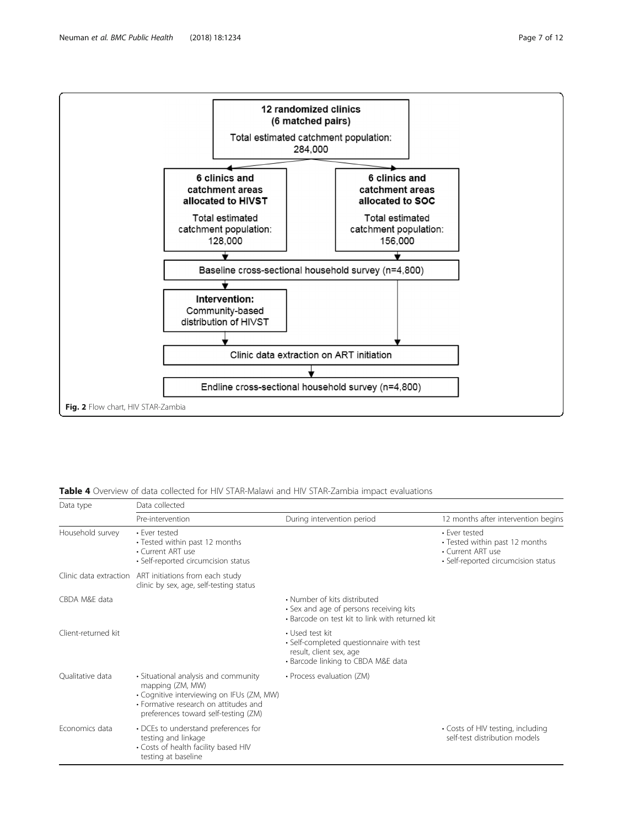

<span id="page-6-0"></span>

Table 4 Overview of data collected for HIV STAR-Malawi and HIV STAR-Zambia impact evaluations

| Data type              | Data collected                                                                                                                                                                         |                                                                                                                              |                                                                                                             |  |  |  |
|------------------------|----------------------------------------------------------------------------------------------------------------------------------------------------------------------------------------|------------------------------------------------------------------------------------------------------------------------------|-------------------------------------------------------------------------------------------------------------|--|--|--|
|                        | Pre-intervention                                                                                                                                                                       | During intervention period                                                                                                   | 12 months after intervention begins                                                                         |  |  |  |
| Household survey       | • Ever tested<br>• Tested within past 12 months<br>• Current ART use<br>• Self-reported circumcision status                                                                            |                                                                                                                              | • Ever tested<br>• Tested within past 12 months<br>• Current ART use<br>• Self-reported circumcision status |  |  |  |
| Clinic data extraction | ART initiations from each study<br>clinic by sex, age, self-testing status                                                                                                             |                                                                                                                              |                                                                                                             |  |  |  |
| CBDA M&F data          |                                                                                                                                                                                        | • Number of kits distributed<br>• Sex and age of persons receiving kits<br>• Barcode on test kit to link with returned kit   |                                                                                                             |  |  |  |
| Client-returned kit    |                                                                                                                                                                                        | • Used test kit<br>· Self-completed questionnaire with test<br>result, client sex, age<br>• Barcode linking to CBDA M&E data |                                                                                                             |  |  |  |
| Oualitative data       | • Situational analysis and community<br>mapping (ZM, MW)<br>• Cognitive interviewing on IFUs (ZM, MW)<br>• Formative research on attitudes and<br>preferences toward self-testing (ZM) | • Process evaluation (ZM)                                                                                                    |                                                                                                             |  |  |  |
| Fconomics data         | • DCEs to understand preferences for<br>testing and linkage<br>• Costs of health facility based HIV<br>testing at baseline                                                             |                                                                                                                              | • Costs of HIV testing, including<br>self-test distribution models                                          |  |  |  |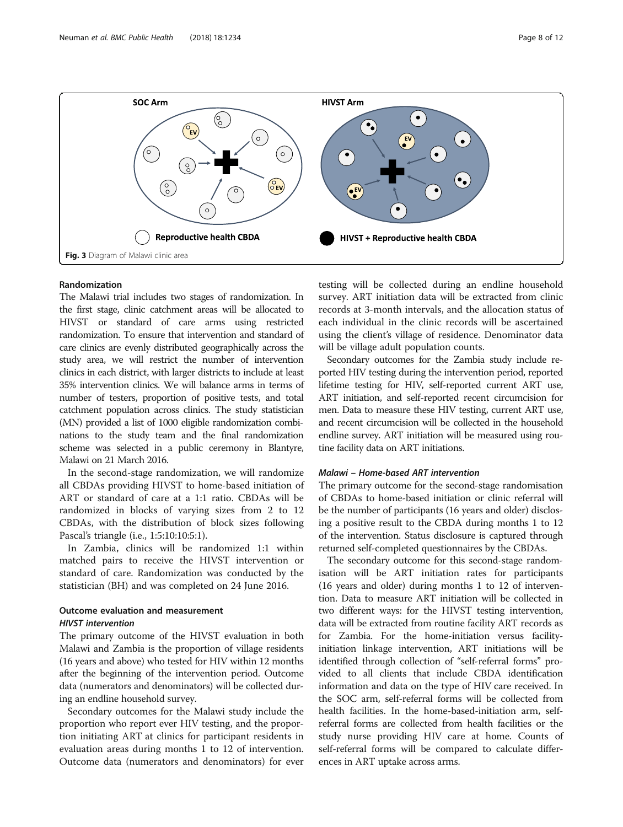<span id="page-7-0"></span>

### Randomization

The Malawi trial includes two stages of randomization. In the first stage, clinic catchment areas will be allocated to HIVST or standard of care arms using restricted randomization. To ensure that intervention and standard of care clinics are evenly distributed geographically across the study area, we will restrict the number of intervention clinics in each district, with larger districts to include at least 35% intervention clinics. We will balance arms in terms of number of testers, proportion of positive tests, and total catchment population across clinics. The study statistician (MN) provided a list of 1000 eligible randomization combinations to the study team and the final randomization scheme was selected in a public ceremony in Blantyre, Malawi on 21 March 2016.

In the second-stage randomization, we will randomize all CBDAs providing HIVST to home-based initiation of ART or standard of care at a 1:1 ratio. CBDAs will be randomized in blocks of varying sizes from 2 to 12 CBDAs, with the distribution of block sizes following Pascal's triangle (i.e., 1:5:10:10:5:1).

In Zambia, clinics will be randomized 1:1 within matched pairs to receive the HIVST intervention or standard of care. Randomization was conducted by the statistician (BH) and was completed on 24 June 2016.

# Outcome evaluation and measurement

## HIVST intervention

The primary outcome of the HIVST evaluation in both Malawi and Zambia is the proportion of village residents (16 years and above) who tested for HIV within 12 months after the beginning of the intervention period. Outcome data (numerators and denominators) will be collected during an endline household survey.

Secondary outcomes for the Malawi study include the proportion who report ever HIV testing, and the proportion initiating ART at clinics for participant residents in evaluation areas during months 1 to 12 of intervention. Outcome data (numerators and denominators) for ever

testing will be collected during an endline household survey. ART initiation data will be extracted from clinic records at 3-month intervals, and the allocation status of each individual in the clinic records will be ascertained using the client's village of residence. Denominator data will be village adult population counts.

Secondary outcomes for the Zambia study include reported HIV testing during the intervention period, reported lifetime testing for HIV, self-reported current ART use, ART initiation, and self-reported recent circumcision for men. Data to measure these HIV testing, current ART use, and recent circumcision will be collected in the household endline survey. ART initiation will be measured using routine facility data on ART initiations.

### Malawi – Home-based ART intervention

The primary outcome for the second-stage randomisation of CBDAs to home-based initiation or clinic referral will be the number of participants (16 years and older) disclosing a positive result to the CBDA during months 1 to 12 of the intervention. Status disclosure is captured through returned self-completed questionnaires by the CBDAs.

The secondary outcome for this second-stage randomisation will be ART initiation rates for participants (16 years and older) during months 1 to 12 of intervention. Data to measure ART initiation will be collected in two different ways: for the HIVST testing intervention, data will be extracted from routine facility ART records as for Zambia. For the home-initiation versus facilityinitiation linkage intervention, ART initiations will be identified through collection of "self-referral forms" provided to all clients that include CBDA identification information and data on the type of HIV care received. In the SOC arm, self-referral forms will be collected from health facilities. In the home-based-initiation arm, selfreferral forms are collected from health facilities or the study nurse providing HIV care at home. Counts of self-referral forms will be compared to calculate differences in ART uptake across arms.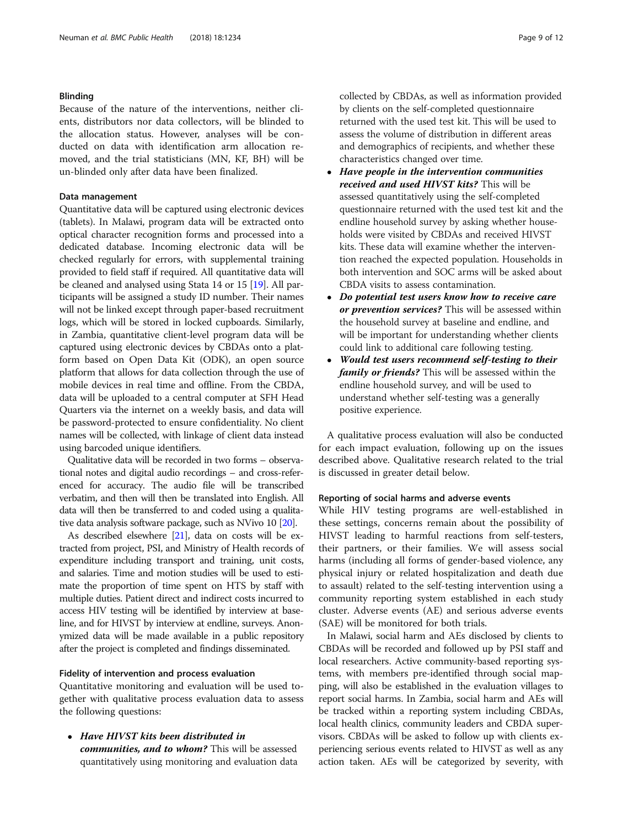## Blinding

Because of the nature of the interventions, neither clients, distributors nor data collectors, will be blinded to the allocation status. However, analyses will be conducted on data with identification arm allocation removed, and the trial statisticians (MN, KF, BH) will be un-blinded only after data have been finalized.

#### Data management

Quantitative data will be captured using electronic devices (tablets). In Malawi, program data will be extracted onto optical character recognition forms and processed into a dedicated database. Incoming electronic data will be checked regularly for errors, with supplemental training provided to field staff if required. All quantitative data will be cleaned and analysed using Stata 14 or 15 [\[19\]](#page-11-0). All participants will be assigned a study ID number. Their names will not be linked except through paper-based recruitment logs, which will be stored in locked cupboards. Similarly, in Zambia, quantitative client-level program data will be captured using electronic devices by CBDAs onto a platform based on Open Data Kit (ODK), an open source platform that allows for data collection through the use of mobile devices in real time and offline. From the CBDA, data will be uploaded to a central computer at SFH Head Quarters via the internet on a weekly basis, and data will be password-protected to ensure confidentiality. No client names will be collected, with linkage of client data instead using barcoded unique identifiers.

Qualitative data will be recorded in two forms – observational notes and digital audio recordings – and cross-referenced for accuracy. The audio file will be transcribed verbatim, and then will then be translated into English. All data will then be transferred to and coded using a qualitative data analysis software package, such as NVivo 10 [[20](#page-11-0)].

As described elsewhere [\[21\]](#page-11-0), data on costs will be extracted from project, PSI, and Ministry of Health records of expenditure including transport and training, unit costs, and salaries. Time and motion studies will be used to estimate the proportion of time spent on HTS by staff with multiple duties. Patient direct and indirect costs incurred to access HIV testing will be identified by interview at baseline, and for HIVST by interview at endline, surveys. Anonymized data will be made available in a public repository after the project is completed and findings disseminated.

### Fidelity of intervention and process evaluation

Quantitative monitoring and evaluation will be used together with qualitative process evaluation data to assess the following questions:

 Have HIVST kits been distributed in *communities, and to whom?* This will be assessed quantitatively using monitoring and evaluation data collected by CBDAs, as well as information provided by clients on the self-completed questionnaire returned with the used test kit. This will be used to assess the volume of distribution in different areas and demographics of recipients, and whether these characteristics changed over time.

- Have people in the intervention communities received and used HIVST kits? This will be assessed quantitatively using the self-completed questionnaire returned with the used test kit and the endline household survey by asking whether households were visited by CBDAs and received HIVST kits. These data will examine whether the intervention reached the expected population. Households in both intervention and SOC arms will be asked about CBDA visits to assess contamination.
- Do potential test users know how to receive care or prevention services? This will be assessed within the household survey at baseline and endline, and will be important for understanding whether clients could link to additional care following testing.
- Would test users recommend self-testing to their **family or friends?** This will be assessed within the endline household survey, and will be used to understand whether self-testing was a generally positive experience.

A qualitative process evaluation will also be conducted for each impact evaluation, following up on the issues described above. Qualitative research related to the trial is discussed in greater detail below.

# Reporting of social harms and adverse events

While HIV testing programs are well-established in these settings, concerns remain about the possibility of HIVST leading to harmful reactions from self-testers, their partners, or their families. We will assess social harms (including all forms of gender-based violence, any physical injury or related hospitalization and death due to assault) related to the self-testing intervention using a community reporting system established in each study cluster. Adverse events (AE) and serious adverse events (SAE) will be monitored for both trials.

In Malawi, social harm and AEs disclosed by clients to CBDAs will be recorded and followed up by PSI staff and local researchers. Active community-based reporting systems, with members pre-identified through social mapping, will also be established in the evaluation villages to report social harms. In Zambia, social harm and AEs will be tracked within a reporting system including CBDAs, local health clinics, community leaders and CBDA supervisors. CBDAs will be asked to follow up with clients experiencing serious events related to HIVST as well as any action taken. AEs will be categorized by severity, with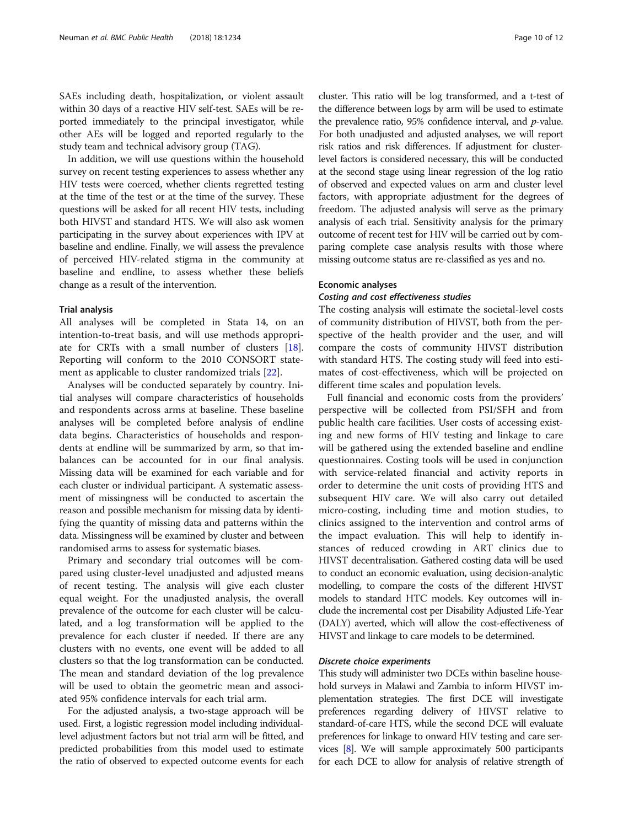SAEs including death, hospitalization, or violent assault within 30 days of a reactive HIV self-test. SAEs will be reported immediately to the principal investigator, while other AEs will be logged and reported regularly to the study team and technical advisory group (TAG).

In addition, we will use questions within the household survey on recent testing experiences to assess whether any HIV tests were coerced, whether clients regretted testing at the time of the test or at the time of the survey. These questions will be asked for all recent HIV tests, including both HIVST and standard HTS. We will also ask women participating in the survey about experiences with IPV at baseline and endline. Finally, we will assess the prevalence of perceived HIV-related stigma in the community at baseline and endline, to assess whether these beliefs change as a result of the intervention.

### Trial analysis

All analyses will be completed in Stata 14, on an intention-to-treat basis, and will use methods appropriate for CRTs with a small number of clusters [\[18](#page-11-0)]. Reporting will conform to the 2010 CONSORT statement as applicable to cluster randomized trials [[22\]](#page-11-0).

Analyses will be conducted separately by country. Initial analyses will compare characteristics of households and respondents across arms at baseline. These baseline analyses will be completed before analysis of endline data begins. Characteristics of households and respondents at endline will be summarized by arm, so that imbalances can be accounted for in our final analysis. Missing data will be examined for each variable and for each cluster or individual participant. A systematic assessment of missingness will be conducted to ascertain the reason and possible mechanism for missing data by identifying the quantity of missing data and patterns within the data. Missingness will be examined by cluster and between randomised arms to assess for systematic biases.

Primary and secondary trial outcomes will be compared using cluster-level unadjusted and adjusted means of recent testing. The analysis will give each cluster equal weight. For the unadjusted analysis, the overall prevalence of the outcome for each cluster will be calculated, and a log transformation will be applied to the prevalence for each cluster if needed. If there are any clusters with no events, one event will be added to all clusters so that the log transformation can be conducted. The mean and standard deviation of the log prevalence will be used to obtain the geometric mean and associated 95% confidence intervals for each trial arm.

For the adjusted analysis, a two-stage approach will be used. First, a logistic regression model including individuallevel adjustment factors but not trial arm will be fitted, and predicted probabilities from this model used to estimate the ratio of observed to expected outcome events for each

cluster. This ratio will be log transformed, and a t-test of the difference between logs by arm will be used to estimate the prevalence ratio, 95% confidence interval, and p-value. For both unadjusted and adjusted analyses, we will report risk ratios and risk differences. If adjustment for clusterlevel factors is considered necessary, this will be conducted at the second stage using linear regression of the log ratio of observed and expected values on arm and cluster level factors, with appropriate adjustment for the degrees of freedom. The adjusted analysis will serve as the primary analysis of each trial. Sensitivity analysis for the primary outcome of recent test for HIV will be carried out by comparing complete case analysis results with those where missing outcome status are re-classified as yes and no.

### Economic analyses

### Costing and cost effectiveness studies

The costing analysis will estimate the societal-level costs of community distribution of HIVST, both from the perspective of the health provider and the user, and will compare the costs of community HIVST distribution with standard HTS. The costing study will feed into estimates of cost-effectiveness, which will be projected on different time scales and population levels.

Full financial and economic costs from the providers' perspective will be collected from PSI/SFH and from public health care facilities. User costs of accessing existing and new forms of HIV testing and linkage to care will be gathered using the extended baseline and endline questionnaires. Costing tools will be used in conjunction with service-related financial and activity reports in order to determine the unit costs of providing HTS and subsequent HIV care. We will also carry out detailed micro-costing, including time and motion studies, to clinics assigned to the intervention and control arms of the impact evaluation. This will help to identify instances of reduced crowding in ART clinics due to HIVST decentralisation. Gathered costing data will be used to conduct an economic evaluation, using decision-analytic modelling, to compare the costs of the different HIVST models to standard HTC models. Key outcomes will include the incremental cost per Disability Adjusted Life-Year (DALY) averted, which will allow the cost-effectiveness of HIVST and linkage to care models to be determined.

### Discrete choice experiments

This study will administer two DCEs within baseline household surveys in Malawi and Zambia to inform HIVST implementation strategies. The first DCE will investigate preferences regarding delivery of HIVST relative to standard-of-care HTS, while the second DCE will evaluate preferences for linkage to onward HIV testing and care services [\[8\]](#page-11-0). We will sample approximately 500 participants for each DCE to allow for analysis of relative strength of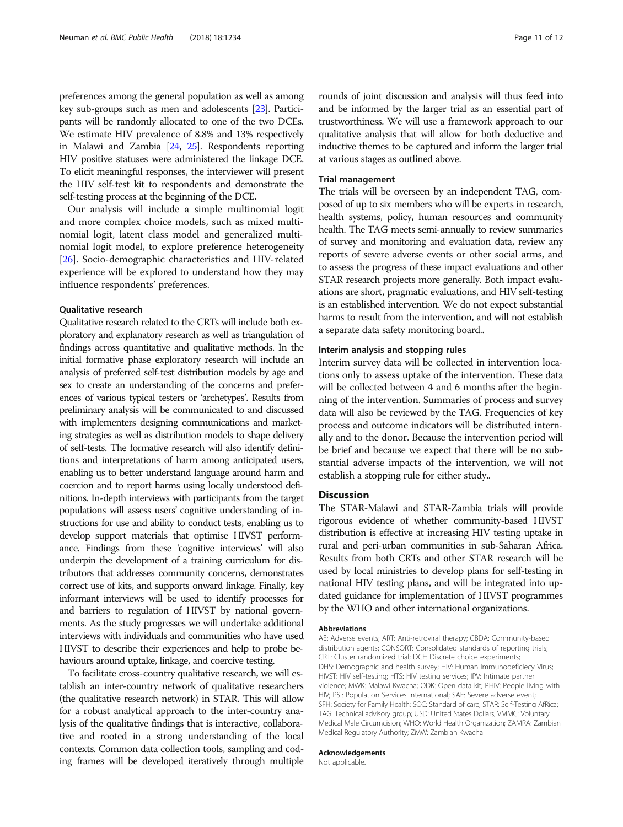preferences among the general population as well as among key sub-groups such as men and adolescents [\[23](#page-11-0)]. Participants will be randomly allocated to one of the two DCEs. We estimate HIV prevalence of 8.8% and 13% respectively in Malawi and Zambia [\[24](#page-11-0), [25](#page-11-0)]. Respondents reporting HIV positive statuses were administered the linkage DCE. To elicit meaningful responses, the interviewer will present the HIV self-test kit to respondents and demonstrate the self-testing process at the beginning of the DCE.

Our analysis will include a simple multinomial logit and more complex choice models, such as mixed multinomial logit, latent class model and generalized multinomial logit model, to explore preference heterogeneity [[26\]](#page-11-0). Socio-demographic characteristics and HIV-related experience will be explored to understand how they may influence respondents' preferences.

### Qualitative research

Qualitative research related to the CRTs will include both exploratory and explanatory research as well as triangulation of findings across quantitative and qualitative methods. In the initial formative phase exploratory research will include an analysis of preferred self-test distribution models by age and sex to create an understanding of the concerns and preferences of various typical testers or 'archetypes'. Results from preliminary analysis will be communicated to and discussed with implementers designing communications and marketing strategies as well as distribution models to shape delivery of self-tests. The formative research will also identify definitions and interpretations of harm among anticipated users, enabling us to better understand language around harm and coercion and to report harms using locally understood definitions. In-depth interviews with participants from the target populations will assess users' cognitive understanding of instructions for use and ability to conduct tests, enabling us to develop support materials that optimise HIVST performance. Findings from these 'cognitive interviews' will also underpin the development of a training curriculum for distributors that addresses community concerns, demonstrates correct use of kits, and supports onward linkage. Finally, key informant interviews will be used to identify processes for and barriers to regulation of HIVST by national governments. As the study progresses we will undertake additional interviews with individuals and communities who have used HIVST to describe their experiences and help to probe behaviours around uptake, linkage, and coercive testing.

To facilitate cross-country qualitative research, we will establish an inter-country network of qualitative researchers (the qualitative research network) in STAR. This will allow for a robust analytical approach to the inter-country analysis of the qualitative findings that is interactive, collaborative and rooted in a strong understanding of the local contexts. Common data collection tools, sampling and coding frames will be developed iteratively through multiple rounds of joint discussion and analysis will thus feed into and be informed by the larger trial as an essential part of trustworthiness. We will use a framework approach to our qualitative analysis that will allow for both deductive and inductive themes to be captured and inform the larger trial at various stages as outlined above.

### Trial management

The trials will be overseen by an independent TAG, composed of up to six members who will be experts in research, health systems, policy, human resources and community health. The TAG meets semi-annually to review summaries of survey and monitoring and evaluation data, review any reports of severe adverse events or other social arms, and to assess the progress of these impact evaluations and other STAR research projects more generally. Both impact evaluations are short, pragmatic evaluations, and HIV self-testing is an established intervention. We do not expect substantial harms to result from the intervention, and will not establish a separate data safety monitoring board..

#### Interim analysis and stopping rules

Interim survey data will be collected in intervention locations only to assess uptake of the intervention. These data will be collected between 4 and 6 months after the beginning of the intervention. Summaries of process and survey data will also be reviewed by the TAG. Frequencies of key process and outcome indicators will be distributed internally and to the donor. Because the intervention period will be brief and because we expect that there will be no substantial adverse impacts of the intervention, we will not establish a stopping rule for either study..

### **Discussion**

The STAR-Malawi and STAR-Zambia trials will provide rigorous evidence of whether community-based HIVST distribution is effective at increasing HIV testing uptake in rural and peri-urban communities in sub-Saharan Africa. Results from both CRTs and other STAR research will be used by local ministries to develop plans for self-testing in national HIV testing plans, and will be integrated into updated guidance for implementation of HIVST programmes by the WHO and other international organizations.

#### Abbreviations

AE: Adverse events; ART: Anti-retroviral therapy; CBDA: Community-based distribution agents; CONSORT: Consolidated standards of reporting trials; CRT: Cluster randomized trial; DCE: Discrete choice experiments; DHS: Demographic and health survey; HIV: Human Immunodeficiecy Virus; HIVST: HIV self-testing; HTS: HIV testing services; IPV: Intimate partner violence; MWK: Malawi Kwacha; ODK: Open data kit; PHIV: People living with HIV; PSI: Population Services International; SAE: Severe adverse event; SFH: Society for Family Health; SOC: Standard of care; STAR: Self-Testing AfRica; TAG: Technical advisory group; USD: United States Dollars; VMMC: Voluntary Medical Male Circumcision; WHO: World Health Organization; ZAMRA: Zambian Medical Regulatory Authority; ZMW: Zambian Kwacha

#### Acknowledgements

Not applicable.